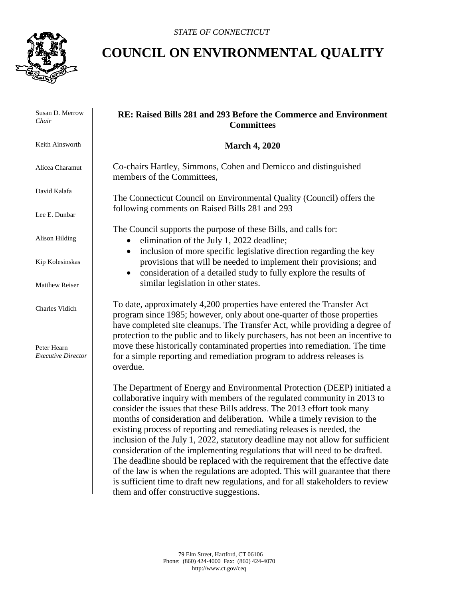

## **COUNCIL ON ENVIRONMENTAL QUALITY**

 Susan D. Merrow *Chair*

Keith Ainsworth

Alicea Charamut

David Kalafa

Lee E. Dunbar

Alison Hilding

Kip Kolesinskas

Matthew Reiser

Charles Vidich

 Peter Hearn *Executive Director*

## **RE: Raised Bills 281 and 293 Before the Commerce and Environment Committees**

## **March 4, 2020**

Co-chairs Hartley, Simmons, Cohen and Demicco and distinguished members of the Committees,

The Connecticut Council on Environmental Quality (Council) offers the following comments on Raised Bills 281 and 293

The Council supports the purpose of these Bills, and calls for:

- elimination of the July 1, 2022 deadline;
- inclusion of more specific legislative direction regarding the key provisions that will be needed to implement their provisions; and
- consideration of a detailed study to fully explore the results of similar legislation in other states.

To date, approximately 4,200 properties have entered the Transfer Act program since 1985; however, only about one-quarter of those properties have completed site cleanups. The Transfer Act, while providing a degree of protection to the public and to likely purchasers, has not been an incentive to move these historically contaminated properties into remediation. The time for a simple reporting and remediation program to address releases is overdue.

The Department of Energy and Environmental Protection (DEEP) initiated a collaborative inquiry with members of the regulated community in 2013 to consider the issues that these Bills address. The 2013 effort took many months of consideration and deliberation. While a timely revision to the existing process of reporting and remediating releases is needed, the inclusion of the July 1, 2022, statutory deadline may not allow for sufficient consideration of the implementing regulations that will need to be drafted. The deadline should be replaced with the requirement that the effective date of the law is when the regulations are adopted. This will guarantee that there is sufficient time to draft new regulations, and for all stakeholders to review them and offer constructive suggestions.